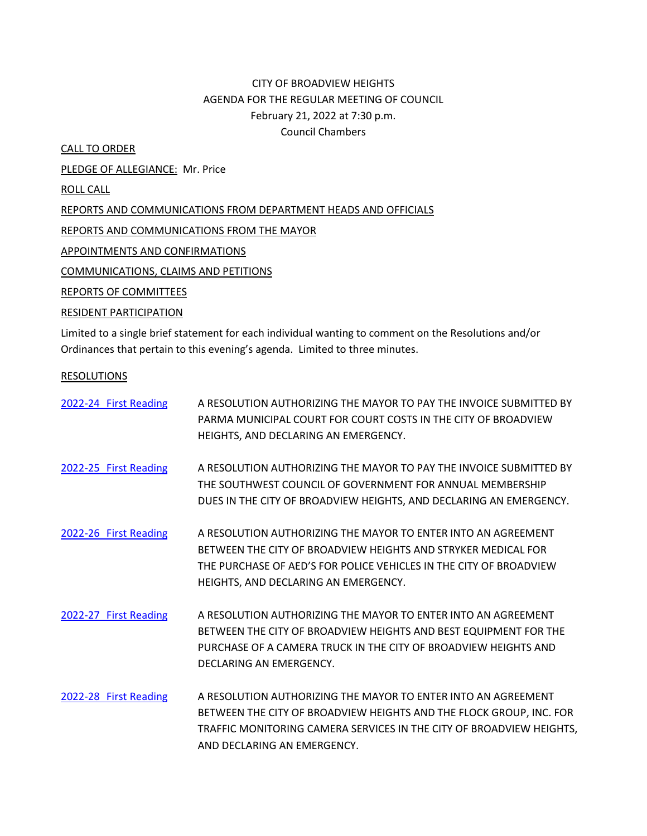# CITY OF BROADVIEW HEIGHTS AGENDA FOR THE REGULAR MEETING OF COUNCIL February 21, 2022 at 7:30 p.m. Council Chambers

CALL TO ORDER

PLEDGE OF ALLEGIANCE: Mr. Price

ROLL CALL

REPORTS AND COMMUNICATIONS FROM DEPARTMENT HEADS AND OFFICIALS

REPORTS AND COMMUNICATIONS FROM THE MAYOR

APPOINTMENTS AND CONFIRMATIONS

COMMUNICATIONS, CLAIMS AND PETITIONS

REPORTS OF COMMITTEES

## RESIDENT PARTICIPATION

Limited to a single brief statement for each individual wanting to comment on the Resolutions and/or Ordinances that pertain to this evening's agenda. Limited to three minutes.

### RESOLUTIONS

| 2022-24 First Reading | A RESOLUTION AUTHORIZING THE MAYOR TO PAY THE INVOICE SUBMITTED BY<br>PARMA MUNICIPAL COURT FOR COURT COSTS IN THE CITY OF BROADVIEW                                                                                                         |
|-----------------------|----------------------------------------------------------------------------------------------------------------------------------------------------------------------------------------------------------------------------------------------|
|                       | HEIGHTS, AND DECLARING AN EMERGENCY.                                                                                                                                                                                                         |
| 2022-25 First Reading | A RESOLUTION AUTHORIZING THE MAYOR TO PAY THE INVOICE SUBMITTED BY<br>THE SOUTHWEST COUNCIL OF GOVERNMENT FOR ANNUAL MEMBERSHIP<br>DUES IN THE CITY OF BROADVIEW HEIGHTS, AND DECLARING AN EMERGENCY.                                        |
| 2022-26 First Reading | A RESOLUTION AUTHORIZING THE MAYOR TO ENTER INTO AN AGREEMENT<br>BETWEEN THE CITY OF BROADVIEW HEIGHTS AND STRYKER MEDICAL FOR<br>THE PURCHASE OF AED'S FOR POLICE VEHICLES IN THE CITY OF BROADVIEW<br>HEIGHTS, AND DECLARING AN EMERGENCY. |
| 2022-27 First Reading | A RESOLUTION AUTHORIZING THE MAYOR TO ENTER INTO AN AGREEMENT<br>BETWEEN THE CITY OF BROADVIEW HEIGHTS AND BEST EQUIPMENT FOR THE<br>PURCHASE OF A CAMERA TRUCK IN THE CITY OF BROADVIEW HEIGHTS AND<br>DECLARING AN EMERGENCY.              |
| 2022-28 First Reading | A RESOLUTION AUTHORIZING THE MAYOR TO ENTER INTO AN AGREEMENT<br>BETWEEN THE CITY OF BROADVIEW HEIGHTS AND THE FLOCK GROUP, INC. FOR<br>TRAFFIC MONITORING CAMERA SERVICES IN THE CITY OF BROADVIEW HEIGHTS,<br>AND DECLARING AN EMERGENCY.  |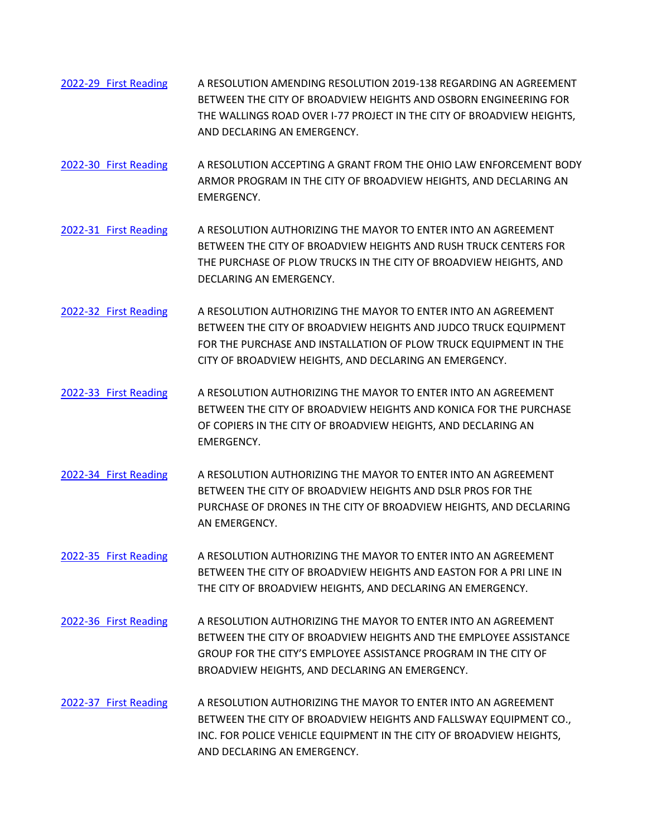- 2022-29 [First Reading](https://www.dropbox.com/s/f367dm01zjv0kk3/2022-29%20AMEND%202019-138%20REGARDING%20AGREEMENT%20WITH%20OSBORN%20ENGINEERING%20FOR%20THE%20WALLINGS%20ROAD%20OVER%20I-77%20PROJECT.pdf?dl=0) A RESOLUTION AMENDING RESOLUTION 2019-138 REGARDING AN AGREEMENT BETWEEN THE CITY OF BROADVIEW HEIGHTS AND OSBORN ENGINEERING FOR THE WALLINGS ROAD OVER I-77 PROJECT IN THE CITY OF BROADVIEW HEIGHTS, AND DECLARING AN EMERGENCY.
- 2022-30 [First Reading](https://www.dropbox.com/s/fem0x5vzrge46us/2022-30%20ACCEPTING%20GRANT%20FROM%20THE%20OHIO%20LAW%20ENFORCEMENT%20BODY%20ARMOR%20PROGRAM.pdf?dl=0) A RESOLUTION ACCEPTING A GRANT FROM THE OHIO LAW ENFORCEMENT BODY ARMOR PROGRAM IN THE CITY OF BROADVIEW HEIGHTS, AND DECLARING AN EMERGENCY.
- 2022-31 [First Reading](https://www.dropbox.com/s/vgl9cyrdf3q2pkw/2022-31%20AGREEMENT%20WITH%20RUSH%20TRUCK%20CENTERS%20FOR%20THE%20PURCHASE%20OF%20PLOW%20TRUCKS.pdf?dl=0) A RESOLUTION AUTHORIZING THE MAYOR TO ENTER INTO AN AGREEMENT BETWEEN THE CITY OF BROADVIEW HEIGHTS AND RUSH TRUCK CENTERS FOR THE PURCHASE OF PLOW TRUCKS IN THE CITY OF BROADVIEW HEIGHTS, AND DECLARING AN EMERGENCY.
- 2022-32 [First Reading](https://www.dropbox.com/s/myjw9ccrwmyey6u/2022-32%20AGREEMENT%20WITH%20JUDCO%20TRUCK%20EQUIPMENT%20FOR%20THE%20PURCHASE%20AND%20INSTALLATION%20OF%20PLOW%20TRUCK%20EQUIPMENT.pdf?dl=0) A RESOLUTION AUTHORIZING THE MAYOR TO ENTER INTO AN AGREEMENT BETWEEN THE CITY OF BROADVIEW HEIGHTS AND JUDCO TRUCK EQUIPMENT FOR THE PURCHASE AND INSTALLATION OF PLOW TRUCK EQUIPMENT IN THE CITY OF BROADVIEW HEIGHTS, AND DECLARING AN EMERGENCY.
- 2022-33 [First Reading](https://www.dropbox.com/s/ifg8v8jqkcmdidb/2022-33%20AGREEMENT%20WITH%20KONICA%20FOR%20THE%20PURCHASE%20OF%20COPIERS.pdf?dl=0) A RESOLUTION AUTHORIZING THE MAYOR TO ENTER INTO AN AGREEMENT BETWEEN THE CITY OF BROADVIEW HEIGHTS AND KONICA FOR THE PURCHASE OF COPIERS IN THE CITY OF BROADVIEW HEIGHTS, AND DECLARING AN EMERGENCY.
- 2022-34 [First Reading](https://www.dropbox.com/s/r6xkvt3990vgews/2022-34%20AGREEMENT%20WITH%20DSLR%20PROS%20FOR%20THE%20PURCHASE%20OF%20DRONES.pdf?dl=0) A RESOLUTION AUTHORIZING THE MAYOR TO ENTER INTO AN AGREEMENT BETWEEN THE CITY OF BROADVIEW HEIGHTS AND DSLR PROS FOR THE PURCHASE OF DRONES IN THE CITY OF BROADVIEW HEIGHTS, AND DECLARING AN EMERGENCY.
- 2022-35 [First Reading](https://www.dropbox.com/s/h7jgeqpmpdcfkiw/2022-35%20AGREEMENT%20WITH%20EASTON%20FOR%20A%20PRI%20LINE.pdf?dl=0) A RESOLUTION AUTHORIZING THE MAYOR TO ENTER INTO AN AGREEMENT BETWEEN THE CITY OF BROADVIEW HEIGHTS AND EASTON FOR A PRI LINE IN THE CITY OF BROADVIEW HEIGHTS, AND DECLARING AN EMERGENCY.
- 2022-36 [First Reading](https://www.dropbox.com/s/y1749n4iudyg6cx/2022-36%20AGREEMENT%20WITH%20THE%20EMPLOYEE%20ASSISTANCE%20GROUP%20FOR%20THE%20CITY%27S%20EMPLOYEE%20ASSISTANCE%20PROGRAM.pdf?dl=0) A RESOLUTION AUTHORIZING THE MAYOR TO ENTER INTO AN AGREEMENT BETWEEN THE CITY OF BROADVIEW HEIGHTS AND THE EMPLOYEE ASSISTANCE GROUP FOR THE CITY'S EMPLOYEE ASSISTANCE PROGRAM IN THE CITY OF BROADVIEW HEIGHTS, AND DECLARING AN EMERGENCY.
- 2022-37 [First Reading](https://www.dropbox.com/s/ey06ts11gfgvecx/2022-37%20AGREEMENT%20WITH%20FALLSWAY%20EQUIPMENT%20CO.%2C%20INC.%20FOR%20POLICE%20VEHICLE%20EQUIPMENT.pdf?dl=0) A RESOLUTION AUTHORIZING THE MAYOR TO ENTER INTO AN AGREEMENT BETWEEN THE CITY OF BROADVIEW HEIGHTS AND FALLSWAY EQUIPMENT CO., INC. FOR POLICE VEHICLE EQUIPMENT IN THE CITY OF BROADVIEW HEIGHTS, AND DECLARING AN EMERGENCY.